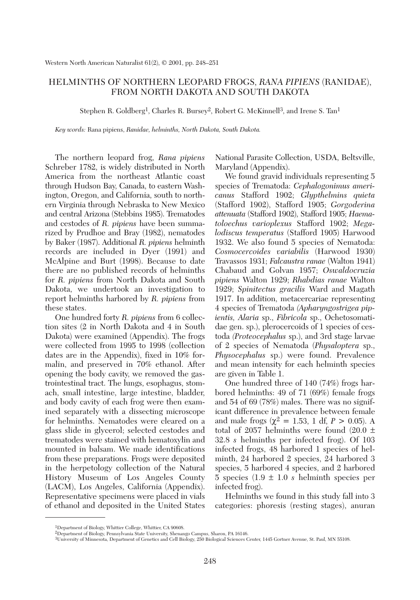## HELMINTHS OF NORTHERN LEOPARD FROGS, *RANA PIPIENS* (RANIDAE), FROM NORTH DAKOTA AND SOUTH DAKOTA

Stephen R. Goldberg<sup>1</sup>, Charles R. Bursey<sup>2</sup>, Robert G. McKinnell<sup>3</sup>, and Irene S. Tan<sup>1</sup>

*Key words:* Rana pipiens, *Ranidae, helminths, North Dakota, South Dakota.*

The northern leopard frog, *Rana pipiens* Schreber 1782, is widely distributed in North America from the northeast Atlantic coast through Hudson Bay, Canada, to eastern Washington, Oregon, and California, south to northern Virginia through Nebraska to New Mexico and central Arizona (Stebbins 1985). Trematodes and cestodes of *R. pipiens* have been summarized by Prudhoe and Bray (1982), nematodes by Baker (1987). Additional *R. pipiens* helminth records are included in Dyer (1991) and McAlpine and Burt (1998). Because to date there are no published records of helminths for *R. pipiens* from North Dakota and South Dakota, we undertook an investigation to report helminths harbored by *R. pipiens* from these states.

One hundred forty *R. pipiens* from 6 collection sites (2 in North Dakota and 4 in South Dakota) were examined (Appendix). The frogs were collected from 1995 to 1998 (collection dates are in the Appendix), fixed in 10% formalin, and preserved in 70% ethanol. After opening the body cavity, we removed the gastrointestinal tract. The lungs, esophagus, stomach, small intestine, large intestine, bladder, and body cavity of each frog were then examined separately with a dissecting microscope for helminths. Nematodes were cleared on a glass slide in glycerol; selected cestodes and trematodes were stained with hematoxylin and mounted in balsam. We made identifications from these preparations. Frogs were deposited in the herpetology collection of the Natural History Museum of Los Angeles County (LACM), Los Angeles, California (Appendix). Representative specimens were placed in vials of ethanol and deposited in the United States National Parasite Collection, USDA, Beltsville, Maryland (Appendix).

We found gravid individuals representing 5 species of Trematoda: *Cephalogonimus americanus* Stafford 1902; *Glypthelmins quieta* (Stafford 1902), Stafford 1905; *Gorgoderina attenuata* (Stafford 1902), Stafford 1905; *Haematoloechus varioplexus* Stafford 1902; *Megalodiscus temperatus* (Stafford 1905) Harwood 1932. We also found 5 species of Nematoda: *Cosmocercoides variabilis* (Harwood 1930) Travassos 1931; *Falcaustra ranae* (Walton 1941) Chabaud and Golvan 1957; *Oswaldocruzia pipiens* Walton 1929; *Rhabdias ranae* Walton 1929; *Spinitectus gracilis* Ward and Magath 1917. In addition, metacercariae representing 4 species of Trematoda *(Apharyngostrigea pipientis, Alaria* sp., *Fibricola* sp., Ochetosomatidae gen. sp.), plerocercoids of 1 species of cestoda *(Proteocephalus* sp.), and 3rd stage larvae of 2 species of Nematoda (*Physaloptera* sp., *Physocephalus* sp.) were found. Prevalence and mean intensity for each helminth species are given in Table 1.

One hundred three of 140 (74%) frogs harbored helminths: 49 of 71 (69%) female frogs and 54 of 69 (78%) males. There was no significant difference in prevalence between female and male frogs ( $\chi^2 = 1.53$ , 1 df,  $P > 0.05$ ). A total of 2057 helminths were found  $(20.0 \pm$ 32.8 *s* helminths per infected frog). Of 103 infected frogs, 48 harbored 1 species of helminth, 24 harbored 2 species, 24 harbored 3 species, 5 harbored 4 species, and 2 harbored 5 species (1.9 ± 1.0 *s* helminth species per infected frog).

Helminths we found in this study fall into 3 categories: phoresis (resting stages), anuran

<sup>1</sup>Department of Biology, Whittier College, Whittier, CA 90608.

<sup>2</sup>Department of Biology, Pennsylvania State University, Shenango Campus, Sharon, PA 16146.

<sup>3</sup>University of Minnesota, Department of Genetics and Cell Biology, 250 Biological Sciences Center, 1445 Gortner Avenue, St. Paul, MN 55108.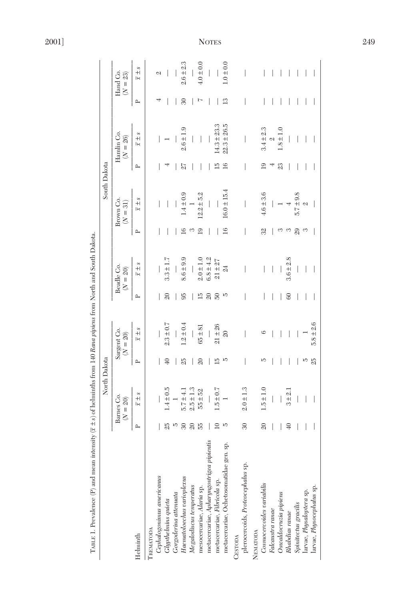| TABLE 1. Prevalence (P) and mean intensity           |                 | $(\bar{x} \pm s)$ of helminths from 140 Rana pipiens from North and South Dakota. |                 |                           |                 |                                    |                 |                         |                |                          |               |                        |
|------------------------------------------------------|-----------------|-----------------------------------------------------------------------------------|-----------------|---------------------------|-----------------|------------------------------------|-----------------|-------------------------|----------------|--------------------------|---------------|------------------------|
|                                                      |                 |                                                                                   | North Dakota    |                           |                 |                                    |                 | South Dakota            |                |                          |               |                        |
|                                                      |                 | Barnes Co.<br>$(N = 20)$                                                          |                 | Sargent Co.<br>$(N = 20)$ |                 | Beadle Co.<br>$\left( N=20\right)$ |                 | Brown Co.<br>$(N = 31)$ |                | Hamlin Co.<br>$(N = 26)$ |               | Hand Co.<br>$(N = 23)$ |
| Helminth                                             | $\mathbf{r}$    | $\overline{x} \pm s$                                                              | $\sim$          | $\overline{x}$ $\pm$ s    | $\mathbf{r}$    | $\overline{x}$ $\pm$ s             | $\mathbf{r}$    | $\frac{s}{+}$<br>ΙR     | $\mathbf{r}$   | $\overline{x}$ $\pm$ s   | $\mathbf{r}$  | $\overline{x} \pm s$   |
| TREMATODA                                            |                 |                                                                                   |                 |                           |                 |                                    |                 |                         |                |                          |               |                        |
| Cephalogonimus americanus                            |                 |                                                                                   |                 |                           |                 |                                    |                 |                         |                |                          |               | CJ                     |
| Glypthelmins quieta<br>Gorgoderina attenuata         | 25              | $1.4 \pm 0.5$                                                                     | $\overline{40}$ | $2.3 \pm 0.7$             | $\overline{20}$ | $3.3 \pm 1.$                       |                 |                         |                |                          |               |                        |
|                                                      |                 |                                                                                   |                 |                           |                 |                                    |                 |                         |                |                          |               |                        |
| Haematoloechus varioplexus                           | $\mathcal{S}^0$ | $5.7 \pm 4.$                                                                      | 25              | $1.2 \pm 0.4$             | $\frac{1}{2}$   | $8.6 \pm 9.9$                      | $\frac{6}{1}$   | $1.4 \pm 0.9$           |                | $2.6 \pm 1.9$            | 30            | $2.6 \pm 2.3$          |
|                                                      | $\approx$       | $2.5 \pm 1.3$                                                                     |                 |                           |                 |                                    | S               |                         |                |                          |               |                        |
| Megalodiscus temperatus<br>mesocercariae, Alaria sp. | 55              | $55 \pm 52$                                                                       | 20              | $65 \pm 81$               | 15              | $2.0 \pm 1.0$                      | $\overline{19}$ | $12.2 \pm 5.2$          |                |                          | r             | $4.0 \pm 0.0$          |
| metacercariae, Apharyngostrigea pipientis            |                 |                                                                                   |                 |                           | $\overline{6}$  | $6.8 \pm 4.2$                      |                 |                         |                |                          |               |                        |
| metacercariae, Fibricola sp.                         | $\supseteq$     | $1.5 \pm 0.7$                                                                     | 15              | $21 \pm 26$               | $\overline{50}$ | $21 \pm 27$                        |                 |                         | 15             | $14.3 \pm 23.3$          |               |                        |
| metacercariae, Ochetosomatidae gen. sp.              | J.              |                                                                                   | Š               | $\overline{20}$           |                 | $\mathbb{Z}$                       | $\overline{16}$ | $16.0 \pm 15.4$         | $\frac{6}{1}$  | $22.3 \pm 26.5$          | $\frac{3}{2}$ | $1.0 \pm 0.0$          |
| plerocercoids, Proteocephalus sp.<br>CESTODA         | 30              | $2.0 \pm 1.3$                                                                     |                 |                           |                 |                                    |                 |                         |                |                          |               |                        |
| NEMATODA                                             |                 |                                                                                   |                 |                           |                 |                                    |                 |                         |                |                          |               |                        |
| Cosmocercoides variabilis                            | $\overline{20}$ | $1.5 \pm 1.0$                                                                     | w               | ం                         |                 |                                    | 32              | $4.6 \pm 3.6$           | $\overline{a}$ | $3.4 \pm 2.3$            |               |                        |
| Falcaustra ranae                                     |                 |                                                                                   |                 |                           |                 |                                    |                 |                         |                | Z                        |               |                        |
| Oswaldocruzia pipiens                                |                 |                                                                                   |                 |                           |                 |                                    | ∞               |                         | 23             | $1.8 \pm 1.0$            |               |                        |
| Rhabdias ranae                                       | $\overline{40}$ | $3 + 2.1$                                                                         |                 |                           | 60              | $3.6 \pm 2.8$                      | S               |                         |                |                          |               |                        |
| Spinitectus gracilis                                 |                 |                                                                                   |                 |                           |                 |                                    | 29              | $5.7 \pm 9.8$           |                |                          |               |                        |
| larvae, Physaloptera sp.                             |                 |                                                                                   | IJ              |                           |                 |                                    | S               | Z                       |                |                          |               |                        |
| larvae, Physocephalus sp.                            |                 |                                                                                   | 25              | $5.8 \pm 2.6$             |                 |                                    |                 |                         |                |                          |               |                        |

2001]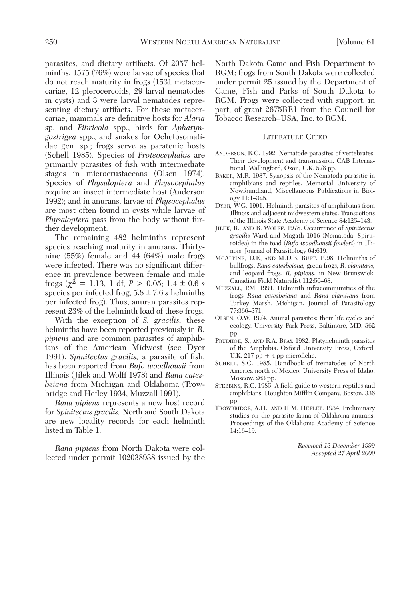parasites, and dietary artifacts. Of 2057 helminths, 1575 (76%) were larvae of species that do not reach maturity in frogs (1531 metacercariae, 12 plerocercoids, 29 larval nematodes in cysts) and 3 were larval nematodes representing dietary artifacts. For these metacercariae, mammals are definitive hosts for *Alaria* sp. and *Fibricola* spp., birds for *Apharyngostrigea* spp., and snakes for Ochetosomatidae gen. sp.; frogs serve as paratenic hosts (Schell 1985). Species of *Proteocephalus* are primarily parasites of fish with intermediate stages in microcrustaceans (Olsen 1974). Species of *Physaloptera* and *Physocephalus* require an insect intermediate host (Anderson 1992); and in anurans, larvae of *Physocephalus* are most often found in cysts while larvae of *Physaloptera* pass from the body without further development.

The remaining 482 helminths represent species reaching maturity in anurans. Thirtynine (55%) female and 44 (64%) male frogs were infected. There was no significant difference in prevalence between female and male frogs ( $\chi^2$  = 1.13, 1 df,  $P > 0.05$ ; 1.4  $\pm$  0.6 *s* species per infected frog, 5.8 ± 7.6 *s* helminths per infected frog). Thus, anuran parasites represent 23% of the helminth load of these frogs.

With the exception of *S. gracilis,* these helminths have been reported previously in *R. pipiens* and are common parasites of amphibians of the American Midwest (see Dyer 1991). *Spinitectus gracilis,* a parasite of fish, has been reported from *Bufo woodhousii* from Illinois (Jilek and Wolff 1978) and *Rana catesbeiana* from Michigan and Oklahoma (Trowbridge and Hefley 1934, Muzzall 1991).

*Rana pipiens* represents a new host record for *Spinitectus gracilis.* North and South Dakota are new locality records for each helminth listed in Table 1.

*Rana pipiens* from North Dakota were collected under permit 102038938 issued by the North Dakota Game and Fish Department to RGM; frogs from South Dakota were collected under permit 25 issued by the Department of Game, Fish and Parks of South Dakota to RGM. Frogs were collected with support, in part, of grant 2675BR1 from the Council for Tobacco Research–USA, Inc. to RGM.

## LITERATURE CITED

- ANDERSON, R.C. 1992. Nematode parasites of vertebrates. Their development and transmission. CAB International, Wallingford, Oxon, U.K. 578 pp.
- BAKER, M.R. 1987. Synopsis of the Nematoda parasitic in amphibians and reptiles. Memorial University of Newfoundland, Miscellaneous Publications in Biology 11:1–325.
- DYER, W.G. 1991. Helminth parasites of amphibians from Illinois and adjacent midwestern states. Transactions of the Illinois State Academy of Science 84:125–143.
- JILEK, R., AND R. WOLFF. 1978. Occurrence of *Spinitectus gracilis* Ward and Magath 1916 (Nematoda: Spiruroidea) in the toad (*Bufo woodhousii fowleri*) in Illinois. Journal of Parasitology 64:619.
- MCALPINE, D.F., AND M.D.B. BURT. 1998. Helminths of bullfrogs, *Rana catesbeiana,* green frogs, *R. clamitans,* and leopard frogs, *R. pipiens,* in New Brunswick. Canadian Field Naturalist 112:50–68.
- MUZZALL, P.M. 1991. Helminth infracommunities of the frogs *Rana catesbeiana* and *Rana clamitans* from Turkey Marsh, Michigan. Journal of Parasitology 77:366–371.
- OLSEN, O.W. 1974. Animal parasites: their life cycles and ecology. University Park Press, Baltimore, MD. 562 pp.
- PRUDHOE, S., AND R.A. BRAY. 1982. Platyhelminth parasites of the Amphibia. Oxford University Press, Oxford, U.K.  $217$  pp  $+4$  pp microfiche.
- SCHELL, S.C. 1985. Handbook of trematodes of North America north of Mexico. University Press of Idaho, Moscow. 263 pp.
- STEBBINS, R.C. 1985. A field guide to western reptiles and amphibians. Houghton Mifflin Company, Boston. 336 pp.
- TROWBRIDGE, A.H., AND H.M. HEFLEY. 1934. Preliminary studies on the parasite fauna of Oklahoma anurans. Proceedings of the Oklahoma Academy of Science 14:16–19.

*Received 13 December 1999 Accepted 27 April 2000*